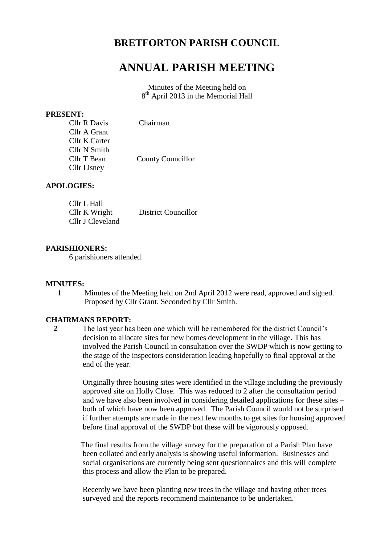## **BRETFORTON PARISH COUNCIL**

# **ANNUAL PARISH MEETING**

Minutes of the Meeting held on 8<sup>th</sup> April 2013 in the Memorial Hall

#### **PRESENT:**

| <b>Cllr R Davis</b> | Chairman                 |
|---------------------|--------------------------|
| Cllr A Grant        |                          |
| Cllr K Carter       |                          |
| Cllr N Smith        |                          |
| Cllr T Bean         | <b>County Councillor</b> |
| Cllr Lisney         |                          |

## **APOLOGIES:**

| Cllr L Hall      |                            |
|------------------|----------------------------|
| Cllr K Wright    | <b>District Councillor</b> |
| Cllr J Cleveland |                            |

## **PARISHIONERS:**

6 parishioners attended.

#### **MINUTES:**

1 Minutes of the Meeting held on 2nd April 2012 were read, approved and signed. Proposed by Cllr Grant. Seconded by Cllr Smith.

#### **CHAIRMANS REPORT:**

 **2** The last year has been one which will be remembered for the district Council's decision to allocate sites for new homes development in the village. This has involved the Parish Council in consultation over the SWDP which is now getting to the stage of the inspectors consideration leading hopefully to final approval at the end of the year.

> Originally three housing sites were identified in the village including the previously approved site on Holly Close. This was reduced to 2 after the consultation period and we have also been involved in considering detailed applications for these sites – both of which have now been approved. The Parish Council would not be surprised if further attempts are made in the next few months to get sites for housing approved before final approval of the SWDP but these will be vigorously opposed.

 The final results from the village survey for the preparation of a Parish Plan have been collated and early analysis is showing useful information. Businesses and social organisations are currently being sent questionnaires and this will complete this process and allow the Plan to be prepared.

 Recently we have been planting new trees in the village and having other trees surveyed and the reports recommend maintenance to be undertaken.